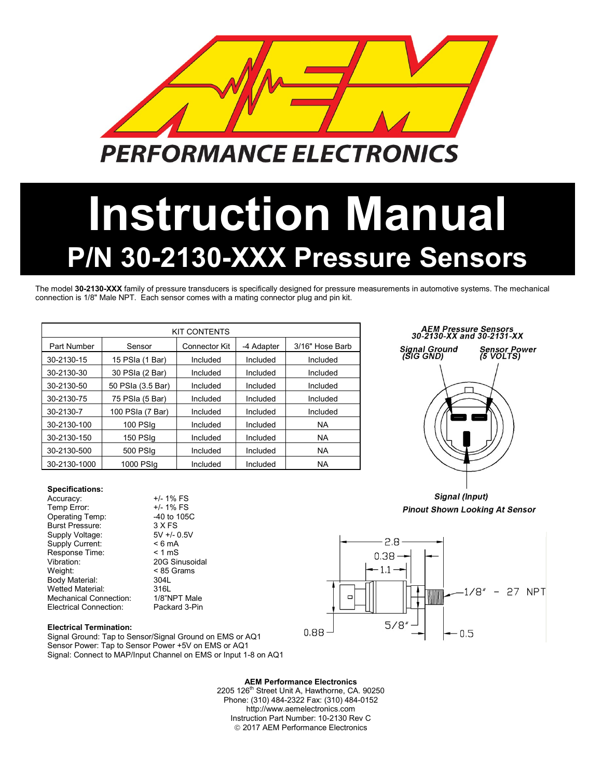

# **Instruction Manual P/N 30-2130-XXX Pressure Sensors**

The model **30-2130-XXX** family of pressure transducers is specifically designed for pressure measurements in automotive systems. The mechanical connection is 1/8" Male NPT. Each sensor comes with a mating connector plug and pin kit.

| <b>KIT CONTENTS</b> |                   |                      |            |                 |  |  |  |  |  |  |
|---------------------|-------------------|----------------------|------------|-----------------|--|--|--|--|--|--|
| Part Number         | Sensor            | <b>Connector Kit</b> | -4 Adapter | 3/16" Hose Barb |  |  |  |  |  |  |
| 30-2130-15          | 15 PSIa (1 Bar)   | Included             | Included   | Included        |  |  |  |  |  |  |
| 30-2130-30          | 30 PSIa (2 Bar)   | Included             | Included   | Included        |  |  |  |  |  |  |
| 30-2130-50          | 50 PSIa (3.5 Bar) | Included             | Included   | Included        |  |  |  |  |  |  |
| 30-2130-75          | 75 PSIa (5 Bar)   | Included             | Included   | Included        |  |  |  |  |  |  |
| 30-2130-7           | 100 PSIa (7 Bar)  | Included             | Included   | Included        |  |  |  |  |  |  |
| 30-2130-100         | 100 PSIq          | Included             | Included   | <b>NA</b>       |  |  |  |  |  |  |
| 30-2130-150         | 150 PSIq          | Included             | Included   | <b>NA</b>       |  |  |  |  |  |  |
| 30-2130-500         | 500 PSIq          |                      | Included   | <b>NA</b>       |  |  |  |  |  |  |
| 30-2130-1000        | 1000 PSIq         | Included             | Included   | <b>NA</b>       |  |  |  |  |  |  |

## AEM Pressure Sensors<br>30-2130-XX and 30-2131-XX Signal Ground<br>(SIG GND) Sensor Power<br>(5 VOLTS)

Signal (Input) **Pinout Shown Looking At Sensor** 



Mechanical Connection:

**Specifications:**

Supply Voltage:

Response Time:

Temp Error:

Accuracy:  $+/- 1\%$  FS<br>Temp Error:  $+/- 1\%$  FS

Operating Temp: 40 to 105C<br>Burst Pressure: 3 X FS Burst Pressure: 3 X FS<br>Supply Voltage: 5V +/- 0.5V

Vibration: 20G Sinusoidal Weight: < 85 Grams Body Material: 304L<br>Wetted Material: 316L Wetted Material: 316L<br>Mechanical Connection: 1/8"NPT Male

Electrical Connection: Packard 3-Pin

Supply Current:  $\leq 6 \text{ mA}$ <br>Response Time:  $\leq 1 \text{ mS}$ 

**Electrical Termination:** Signal Ground: Tap to Sensor/Signal Ground on EMS or AQ1 Sensor Power: Tap to Sensor Power +5V on EMS or AQ1 Signal: Connect to MAP/Input Channel on EMS or Input 1-8 on AQ1

> **AEM Performance Electronics** 2205 126<sup>th</sup> Street Unit A, Hawthorne, CA. 90250 Phone: (310) 484-2322 Fax: (310) 484-0152 http://www.aemelectronics.com Instruction Part Number: 10-2130 Rev C 2017 AEM Performance Electronics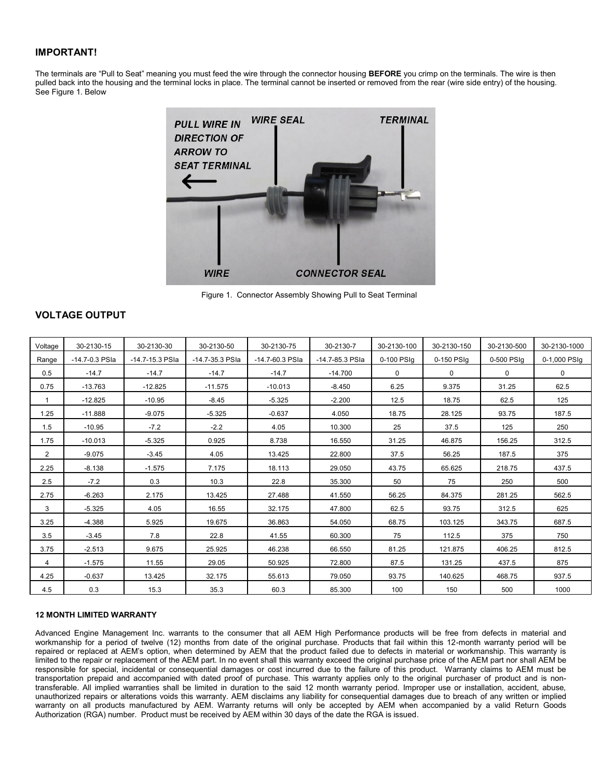#### **IMPORTANT!**

The terminals are "Pull to Seat" meaning you must feed the wire through the connector housing **BEFORE** you crimp on the terminals. The wire is then pulled back into the housing and the terminal locks in place. The terminal cannot be inserted or removed from the rear (wire side entry) of the housing. See Figure 1. Below



Figure 1. Connector Assembly Showing Pull to Seat Terminal

### **VOLTAGE OUTPUT**

| Voltage        | 30-2130-15     | 30-2130-30      | 30-2130-50      | 30-2130-75      | 30-2130-7       | 30-2130-100 | 30-2130-150 | 30-2130-500 | 30-2130-1000 |
|----------------|----------------|-----------------|-----------------|-----------------|-----------------|-------------|-------------|-------------|--------------|
| Range          | -14.7-0.3 PSIa | -14.7-15.3 PSIa | -14.7-35.3 PSIa | -14.7-60.3 PSIa | -14.7-85.3 PSIa | 0-100 PSIq  | 0-150 PSIq  | 0-500 PSIq  | 0-1,000 PSIq |
| 0.5            | $-14.7$        | $-14.7$         | $-14.7$         | $-14.7$         | $-14.700$       | $\Omega$    | $\mathbf 0$ | 0           | $\mathbf 0$  |
| 0.75           | $-13.763$      | $-12.825$       | $-11.575$       | $-10.013$       | $-8.450$        | 6.25        | 9.375       | 31.25       | 62.5         |
| $\mathbf{1}$   | $-12.825$      | $-10.95$        | $-8.45$         | $-5.325$        | $-2.200$        | 12.5        | 18.75       | 62.5        | 125          |
| 1.25           | $-11.888$      | $-9.075$        | $-5.325$        | $-0.637$        | 4.050           | 18.75       | 28.125      | 93.75       | 187.5        |
| 1.5            | $-10.95$       | $-7.2$          | $-2.2$          | 4.05            | 10.300          | 25          | 37.5        | 125         | 250          |
| 1.75           | $-10.013$      | $-5.325$        | 0.925           | 8.738           | 16.550          | 31.25       | 46.875      | 156.25      | 312.5        |
| $\overline{2}$ | $-9.075$       | $-3.45$         | 4.05            | 13.425          | 22.800          | 37.5        | 56.25       | 187.5       | 375          |
| 2.25           | $-8.138$       | $-1.575$        | 7.175           | 18.113          | 29.050          | 43.75       | 65.625      | 218.75      | 437.5        |
| 2.5            | $-7.2$         | 0.3             | 10.3            | 22.8            | 35.300          | 50          | 75          | 250         | 500          |
| 2.75           | $-6.263$       | 2.175           | 13.425          | 27.488          | 41.550          | 56.25       | 84.375      | 281.25      | 562.5        |
| 3              | $-5.325$       | 4.05            | 16.55           | 32.175          | 47.800          | 62.5        | 93.75       | 312.5       | 625          |
| 3.25           | $-4.388$       | 5.925           | 19.675          | 36.863          | 54.050          | 68.75       | 103.125     | 343.75      | 687.5        |
| 3.5            | $-3.45$        | 7.8             | 22.8            | 41.55           | 60.300          | 75          | 112.5       | 375         | 750          |
| 3.75           | $-2.513$       | 9.675           | 25.925          | 46.238          | 66.550          | 81.25       | 121.875     | 406.25      | 812.5        |
| 4              | $-1.575$       | 11.55           | 29.05           | 50.925          | 72,800          | 87.5        | 131.25      | 437.5       | 875          |
| 4.25           | $-0.637$       | 13.425          | 32.175          | 55.613          | 79.050          | 93.75       | 140.625     | 468.75      | 937.5        |
| 4.5            | 0.3            | 15.3            | 35.3            | 60.3            | 85.300          | 100         | 150         | 500         | 1000         |

#### **12 MONTH LIMITED WARRANTY**

Advanced Engine Management Inc. warrants to the consumer that all AEM High Performance products will be free from defects in material and workmanship for a period of twelve (12) months from date of the original purchase. Products that fail within this 12-month warranty period will be repaired or replaced at AEM's option, when determined by AEM that the product failed due to defects in material or workmanship. This warranty is limited to the repair or replacement of the AEM part. In no event shall this warranty exceed the original purchase price of the AEM part nor shall AEM be responsible for special, incidental or consequential damages or cost incurred due to the failure of this product. Warranty claims to AEM must be transportation prepaid and accompanied with dated proof of purchase. This warranty applies only to the original purchaser of product and is nontransferable. All implied warranties shall be limited in duration to the said 12 month warranty period. Improper use or installation, accident, abuse, unauthorized repairs or alterations voids this warranty. AEM disclaims any liability for consequential damages due to breach of any written or implied warranty on all products manufactured by AEM. Warranty returns will only be accepted by AEM when accompanied by a valid Return Goods Authorization (RGA) number. Product must be received by AEM within 30 days of the date the RGA is issued.